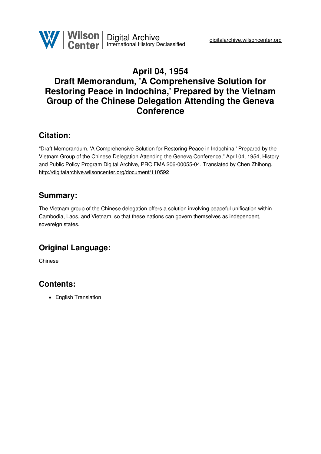

# **April 04, 1954 Draft Memorandum, 'A Comprehensive Solution for Restoring Peace in Indochina,' Prepared by the Vietnam Group of the Chinese Delegation Attending the Geneva Conference**

### **Citation:**

"Draft Memorandum, 'A Comprehensive Solution for Restoring Peace in Indochina,' Prepared by the Vietnam Group of the Chinese Delegation Attending the Geneva Conference," April 04, 1954, History and Public Policy Program Digital Archive, PRC FMA 206-00055-04. Translated by Chen Zhihong. <http://digitalarchive.wilsoncenter.org/document/110592>

### **Summary:**

The Vietnam group of the Chinese delegation offers a solution involving peaceful unification within Cambodia, Laos, and Vietnam, so that these nations can govern themselves as independent, sovereign states.

# **Original Language:**

Chinese

## **Contents:**

• English Translation